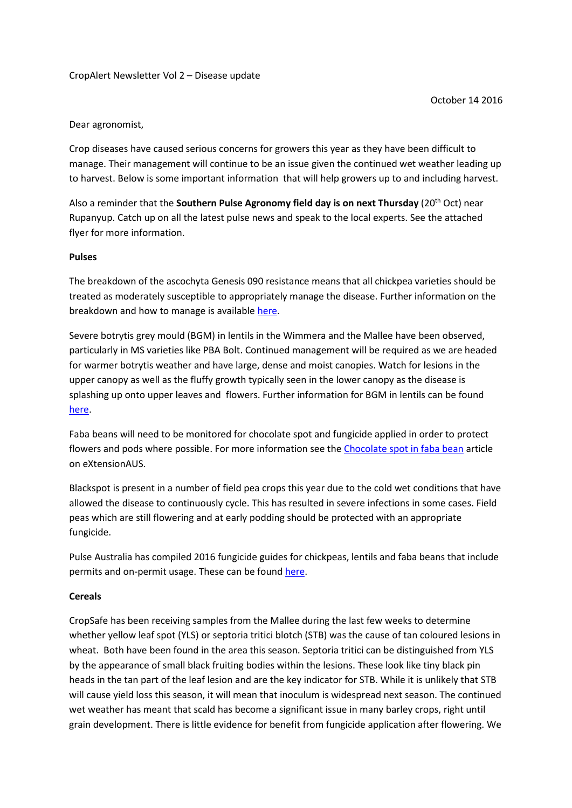## CropAlert Newsletter Vol 2 – Disease update

## Dear agronomist,

Crop diseases have caused serious concerns for growers this year as they have been difficult to manage. Their management will continue to be an issue given the continued wet weather leading up to harvest. Below is some important information that will help growers up to and including harvest.

Also a reminder that the **Southern Pulse Agronomy field day is on next Thursday** (20<sup>th</sup> Oct) near Rupanyup. Catch up on all the latest pulse news and speak to the local experts. See the attached flyer for more information.

## **Pulses**

The breakdown of the ascochyta Genesis 090 resistance means that all chickpea varieties should be treated as moderately susceptible to appropriately manage the disease. Further information on the breakdown and how to manage is available [here.](https://extensionhub.com.au/web/field-crop-diseases/-/severe-ascochyta-in-victorian-mallee-chickpea-crops)

Severe botrytis grey mould (BGM) in lentils in the Wimmera and the Mallee have been observed, particularly in MS varieties like PBA Bolt. Continued management will be required as we are headed for warmer botrytis weather and have large, dense and moist canopies. Watch for lesions in the upper canopy as well as the fluffy growth typically seen in the lower canopy as the disease is splashing up onto upper leaves and flowers. Further information for BGM in lentils can be found [here.](https://extensionhub.com.au/web/field-crop-diseases/-/botrytis-grey-mould-in-lentils)

Faba beans will need to be monitored for chocolate spot and fungicide applied in order to protect flowers and pods where possible. For more information see the [Chocolate spot in faba bean](https://extensionhub.com.au/web/field-crop-diseases/-/chocolate-spot-in-faba-bean) article on eXtensionAUS.

Blackspot is present in a number of field pea crops this year due to the cold wet conditions that have allowed the disease to continuously cycle. This has resulted in severe infections in some cases. Field peas which are still flowering and at early podding should be protected with an appropriate fungicide.

Pulse Australia has compiled 2016 fungicide guides for chickpeas, lentils and faba beans that include permits and on-permit usage. These can be found [here.](http://pulseaus.com.au/blog/post/2016-fungicide-guides)

## **Cereals**

CropSafe has been receiving samples from the Mallee during the last few weeks to determine whether yellow leaf spot (YLS) or septoria tritici blotch (STB) was the cause of tan coloured lesions in wheat. Both have been found in the area this season. Septoria tritici can be distinguished from YLS by the appearance of small black fruiting bodies within the lesions. These look like tiny black pin heads in the tan part of the leaf lesion and are the key indicator for STB. While it is unlikely that STB will cause yield loss this season, it will mean that inoculum is widespread next season. The continued wet weather has meant that scald has become a significant issue in many barley crops, right until grain development. There is little evidence for benefit from fungicide application after flowering. We